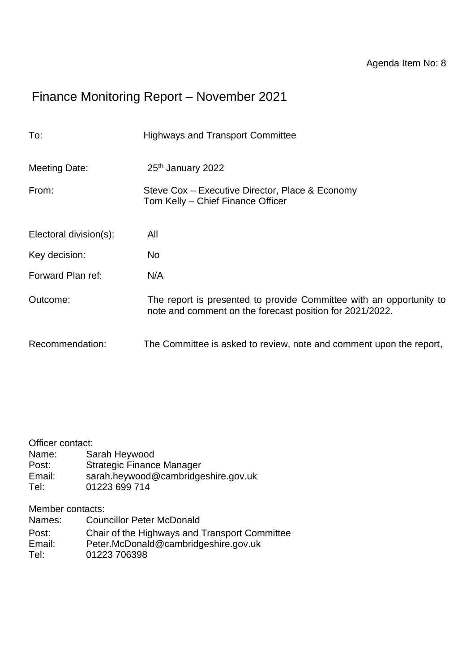# Finance Monitoring Report – November 2021

| To:                    | <b>Highways and Transport Committee</b>                                                                                         |
|------------------------|---------------------------------------------------------------------------------------------------------------------------------|
| Meeting Date:          | 25th January 2022                                                                                                               |
| From:                  | Steve Cox – Executive Director, Place & Economy<br>Tom Kelly - Chief Finance Officer                                            |
| Electoral division(s): | All                                                                                                                             |
| Key decision:          | No                                                                                                                              |
| Forward Plan ref:      | N/A                                                                                                                             |
| Outcome:               | The report is presented to provide Committee with an opportunity to<br>note and comment on the forecast position for 2021/2022. |
| Recommendation:        | The Committee is asked to review, note and comment upon the report,                                                             |

#### Officer contact:

- Name: Sarah Heywood
- Post: Strategic Finance Manager
- Email: sarah.heywood@cambridgeshire.gov.uk
- Tel: 01223 699 714

Member contacts:

- Names: Councillor Peter McDonald Post: Chair of the Highways and Transport Committee Email: Peter.McDonald@cambridgeshire.gov.uk
- Tel: 01223 706398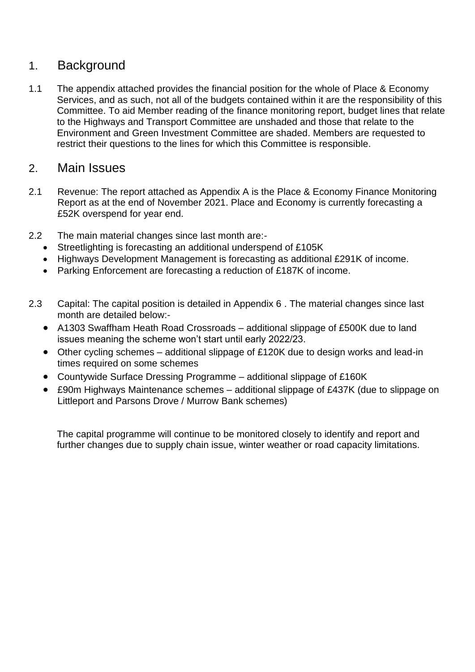## 1. Background

1.1 The appendix attached provides the financial position for the whole of Place & Economy Services, and as such, not all of the budgets contained within it are the responsibility of this Committee. To aid Member reading of the finance monitoring report, budget lines that relate to the Highways and Transport Committee are unshaded and those that relate to the Environment and Green Investment Committee are shaded. Members are requested to restrict their questions to the lines for which this Committee is responsible.

#### 2. Main Issues

- 2.1 Revenue: The report attached as Appendix A is the Place & Economy Finance Monitoring Report as at the end of November 2021. Place and Economy is currently forecasting a £52K overspend for year end.
- 2.2 The main material changes since last month are:-
	- Streetlighting is forecasting an additional underspend of £105K
	- Highways Development Management is forecasting as additional £291K of income.
	- Parking Enforcement are forecasting a reduction of £187K of income.
- 2.3 Capital: The capital position is detailed in Appendix 6 . The material changes since last month are detailed below:-
	- A1303 Swaffham Heath Road Crossroads additional slippage of £500K due to land issues meaning the scheme won't start until early 2022/23.
	- Other cycling schemes additional slippage of £120K due to design works and lead-in times required on some schemes
	- Countywide Surface Dressing Programme additional slippage of £160K
	- £90m Highways Maintenance schemes additional slippage of £437K (due to slippage on Littleport and Parsons Drove / Murrow Bank schemes)

The capital programme will continue to be monitored closely to identify and report and further changes due to supply chain issue, winter weather or road capacity limitations.